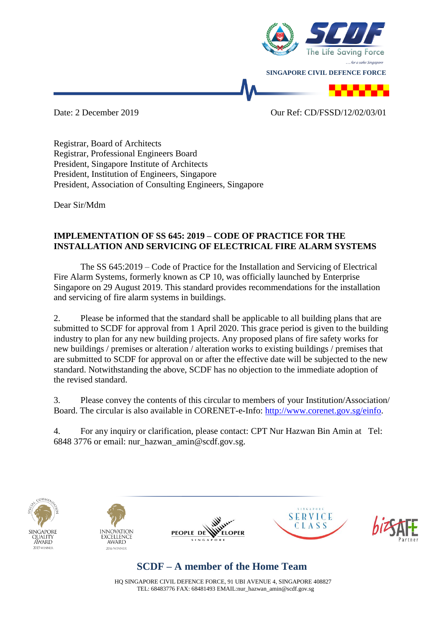

Date: 2 December 2019 Our Ref: CD/FSSD/12/02/03/01

Registrar, Board of Architects Registrar, Professional Engineers Board President, Singapore Institute of Architects President, Institution of Engineers, Singapore President, Association of Consulting Engineers, Singapore

Dear Sir/Mdm

## **IMPLEMENTATION OF SS 645: 2019 – CODE OF PRACTICE FOR THE INSTALLATION AND SERVICING OF ELECTRICAL FIRE ALARM SYSTEMS**

The SS 645:2019 – Code of Practice for the Installation and Servicing of Electrical Fire Alarm Systems, formerly known as CP 10, was officially launched by Enterprise Singapore on 29 August 2019. This standard provides recommendations for the installation and servicing of fire alarm systems in buildings.

2. Please be informed that the standard shall be applicable to all building plans that are submitted to SCDF for approval from 1 April 2020. This grace period is given to the building industry to plan for any new building projects. Any proposed plans of fire safety works for new buildings / premises or alteration / alteration works to existing buildings / premises that are submitted to SCDF for approval on or after the effective date will be subjected to the new standard. Notwithstanding the above, SCDF has no objection to the immediate adoption of the revised standard.

3. Please convey the contents of this circular to members of your Institution/Association/ Board. The circular is also available in CORENET-e-Info: [http://www.corenet.gov.sg/einfo.](http://www.corenet.gov.sg/einfo)

4. For any inquiry or clarification, please contact: CPT Nur Hazwan Bin Amin at Tel: 6848 3776 or email: nur\_hazwan\_amin@scdf.gov.sg.











## **SCDF – A member of the Home Team**

HQ SINGAPORE CIVIL DEFENCE FORCE, 91 UBI AVENUE 4, SINGAPORE 408827 TEL: 68483776 FAX: 68481493 EMAIL:nur\_hazwan\_amin@scdf.gov.sg